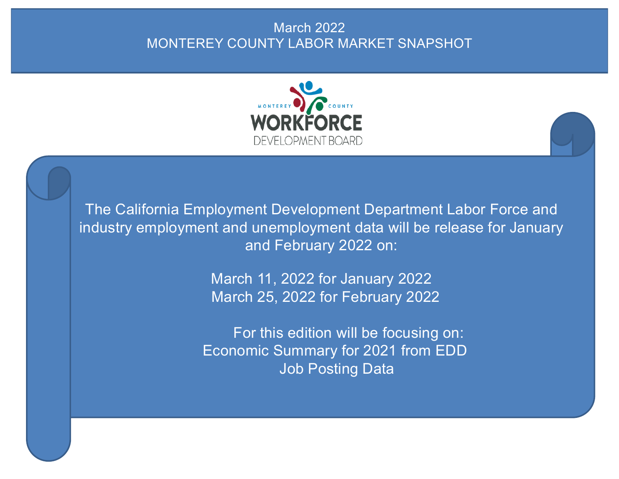# March 2022 MONTEREY COUNTY LABOR MARKET SNAPSHOT



The California Employment Development Department Labor Force and industry employment and unemployment data will be release for January and February 2022 on:

> March 11, 2022 for January 2022 March 25, 2022 for February 2022

For this edition will be focusing on: Economic Summary for 2021 from EDD Job Posting Data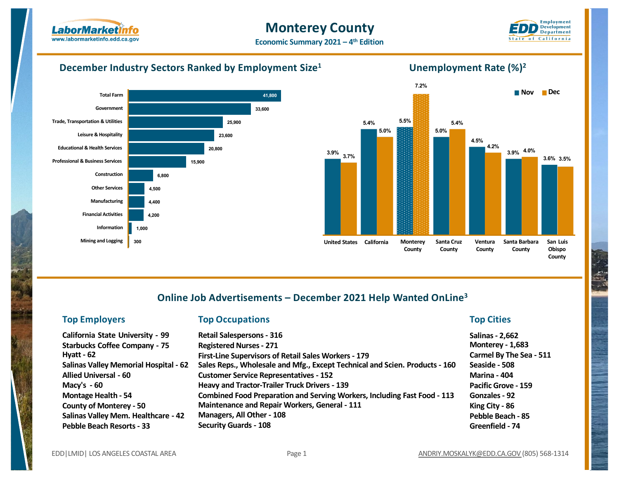

## **Monterey County**



**Economic Summary 2021 – 4th Edition**

#### **December Industry Sectors Ranked by Employment Size1**





**Unemployment Rate (%)2**

## **Online Job Advertisements – December 2021 Help Wanted OnLine3**

#### **Top Employers Top Occupations Top Cities**

| <b>Retail Salespersons - 316</b>                                                | <b>Salinas</b>  |
|---------------------------------------------------------------------------------|-----------------|
| <b>Registered Nurses - 271</b>                                                  | <b>Monter</b>   |
| First-Line Supervisors of Retail Sales Workers - 179                            | Carmel          |
| Sales Reps., Wholesale and Mfg., Except Technical and Scien. Products - 160     | Seaside         |
| <b>Customer Service Representatives - 152</b>                                   | <b>Marina</b>   |
| <b>Heavy and Tractor-Trailer Truck Drivers - 139</b>                            | <b>Pacific</b>  |
| <b>Combined Food Preparation and Serving Workers, Including Fast Food - 113</b> | Gonzal          |
| <b>Maintenance and Repair Workers, General - 111</b>                            | <b>King Cit</b> |
| Managers, All Other - 108                                                       | Pebble          |
| <b>Security Guards - 108</b>                                                    | Greenfi         |
|                                                                                 |                 |

**Salinas- 2,662 Monterey - 1,683 Carmel By The Sea - 511 Seaside - 508 Marina - 404 Pacific Grove - 159 Gonzales- 92 ity - 86 Pebble Beach - 85 Greenfield - 74**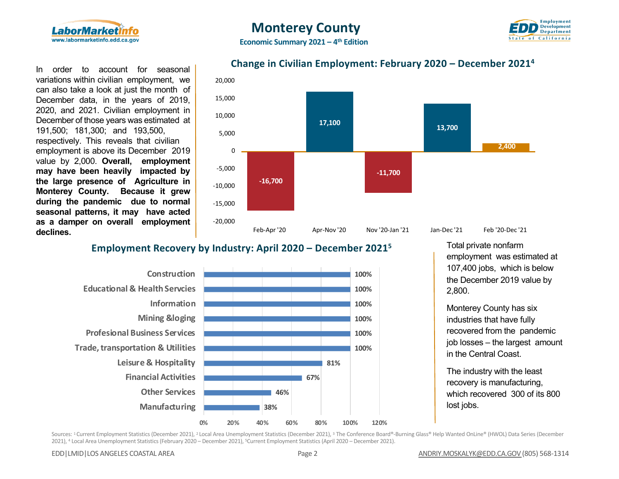



In order to account for seasonal variations within civilian employment, we can also take a look at just the month of December data, in the years of 2019, 2020, and 2021. Civilian employment in December of those years was estimated at 191,500; 181,300; and 193,500, respectively. This reveals that civilian employment is above its December 2019 value by 2,000. **Overall, employment may have been heavily impacted by the large presence of Agriculture in Monterey County. Because it grew during the pandemic due to normal seasonal patterns, it may have acted as a damper on overall employment declines.**

### **Change in Civilian Employment: February 2020 – December 20214**



### **Employment Recovery by Industry: April 2020 – December 20215**



Total private nonfarm employment was estimated at 107,400 jobs, which is below the December 2019 value by 2,800.

Monterey County has six industries that have fully recovered from the pandemic job losses – the largest amount in the Central Coast.

The industry with the least recovery is manufacturing, which recovered 300 of its 800

Sources: <sup>1</sup> Current Employment Statistics (December 2021), <sup>2</sup> Local Area Unemployment Statistics (December 2021), <sup>3</sup> The Conference Board®-Burning Glass® Help Wanted OnLine® (HWOL) Data Series (December 2021), 4 Local Area Unemployment Statistics (February 2020 – December 2021), 5Current Employment Statistics (April 2020 – December 2021).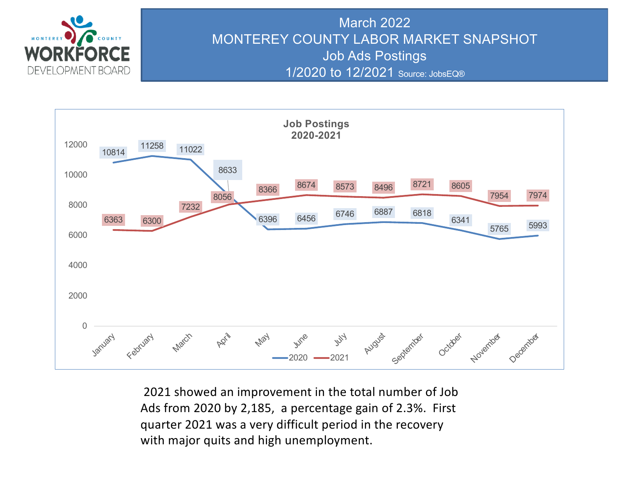

# March 2022 MONTEREY COUNTY LABOR MARKET SNAPSHOT Job Ads Postings 1/2020 to 12/2021 Source: JobsEQ®



2021 showed an improvement in the total number of Job Ads from 2020 by 2,185, a percentage gain of 2.3%. First quarter 2021 was a very difficult period in the recovery with major quits and high unemployment.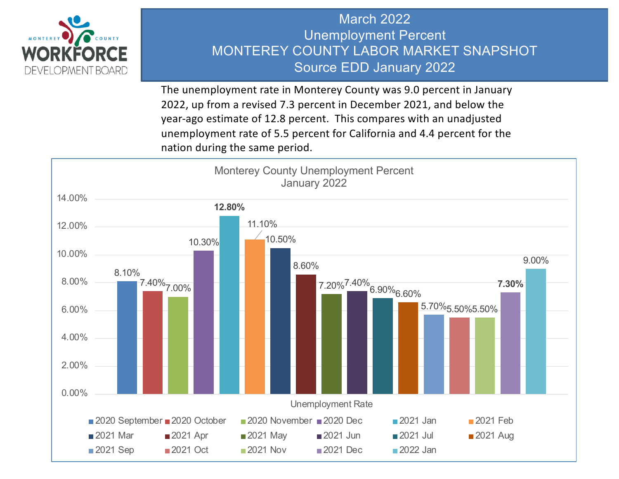

# March 2022 Unemployment Percent MONTEREY COUNTY LABOR MARKET SNAPSHOT Source EDD January 2022

The unemployment rate in Monterey County was 9.0 percent in January 2022, up from a revised 7.3 percent in December 2021, and below the year-ago estimate of 12.8 percent. This compares with an unadjusted unemployment rate of 5.5 percent for California and 4.4 percent for the nation during the same period.

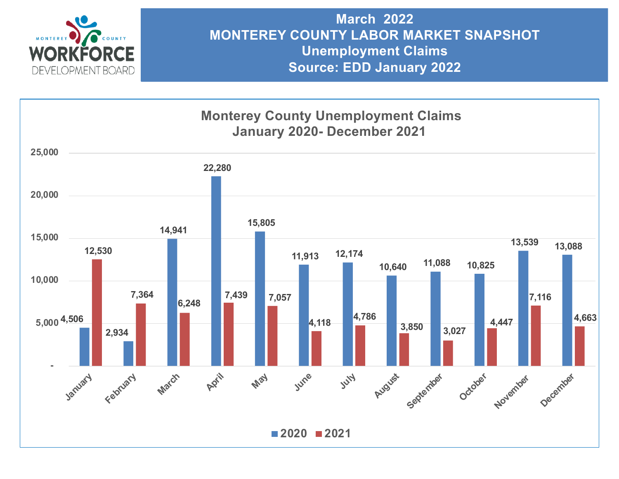

**March 2022 MONTEREY COUNTY LABOR MARKET SNAPSHOT Unemployment Claims Source: EDD January 2022**

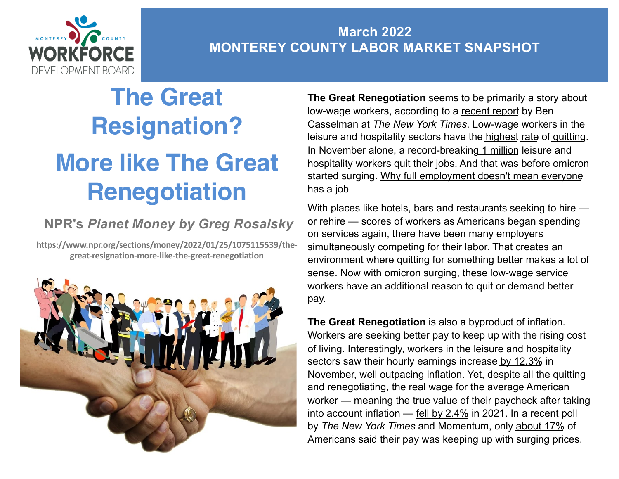

# **March 2022 MONTEREY COUNTY LABOR MARKET SNAPSHOT**

# **The Great Resignation? More like The Great Renegotiation**

# **NPR's** *Planet Money by Greg Rosalsky*

**https://www.npr.org/sections/money/2022/01/25/1075115539/thegreat-resignation-more-like-the-great-renegotiation**



**The Great Renegotiation** seems to be primarily a story about low-wage workers, according to a [recent repo](https://click.nl.npr.org/?qs=b582a020d973e040da0f833394a0e3488ab2d32ad25b63b25200d50d25bad5c4dc2d74132e3dd8b5047062b8376812467014732bea069039)rt by Ben Casselman at *The New York Times*. Low-wage workers in the leisure and hospitality sectors have the [highe](https://click.nl.npr.org/?qs=b582a020d973e040412080b7aeb745d8680fc7d1d2c9f005bbbac20207c50a7393bf2cd571767d4c164e649feaba980afb304d0982753ea1)[st](https://click.nl.npr.org/?qs=b582a020d973e0400dadecfa27f3d3238c31588a39e8b83ccbfcf066ccfb9f960b85ff9de3f4a07832689a410bdfc7e6a2410ed6ef9c74b7) rate of [quitti](https://click.nl.npr.org/?qs=b582a020d973e040af63059dd9a71ba3f8cf3479c04ddc4d0d4a37daa53b9003035bab460c1214c449d166d42de028f34198efac8c40a86b)ng. In November alone, a record-breaking [1 milli](https://click.nl.npr.org/?qs=b582a020d973e04058428f13b8a5b5a53baa7b5adb5ebf637ef747765ef1ff834a30ab6eb1bcc2c07055a9fbf787aa1b2827039d3575ac3f)on leisure and hospitality workers quit their jobs. And that was before omicron [started surging. Why full employment doesn't mean everyon](https://www.npr.org/2022/01/07/1071460102/why-full-employment-doesnt-mean-everyone-has-a-job)e has a job

With places like hotels, bars and restaurants seeking to hire or rehire — scores of workers as Americans began spending on services again, there have been many employers simultaneously competing for their labor. That creates an environment where quitting for something better makes a lot of sense. Now with omicron surging, these low-wage service workers have an additional reason to quit or demand better pay.

**The Great Renegotiation** is also a byproduct of inflation. Workers are seeking better pay to keep up with the rising cost of living. Interestingly, workers in the leisure and hospitality sectors saw their hourly earnings increase [by 12.3](https://click.nl.npr.org/?qs=b582a020d973e04016a3b312984c3967490a3de150a76c36290b312ff5a9a190e3ab3769ad88f8d9ac555081e450facdeb5f810c13c988f2)% in November, well outpacing inflation. Yet, despite all the quitting and renegotiating, the real wage for the average American worker — meaning the true value of their paycheck after taking into account inflation — [fell by 2.4](https://click.nl.npr.org/?qs=b582a020d973e040e5a5c96be47ae015d28dbdf398d3f4ddbd1d1ba00df82a9b740f8c6e759b7879598ad750c78f14bb8d28e03cfe0e220a)% in 2021. In a recent poll by *The New York Times* and Momentum, only [about 17](https://click.nl.npr.org/?qs=b582a020d973e040379376fe8a25c2cc5c054753a2f03d65f1a686456eac1eb3a2014ac47ec1edfd744eb7dde6ce977a1682961219dadba8)% of Americans said their pay was keeping up with surging prices.